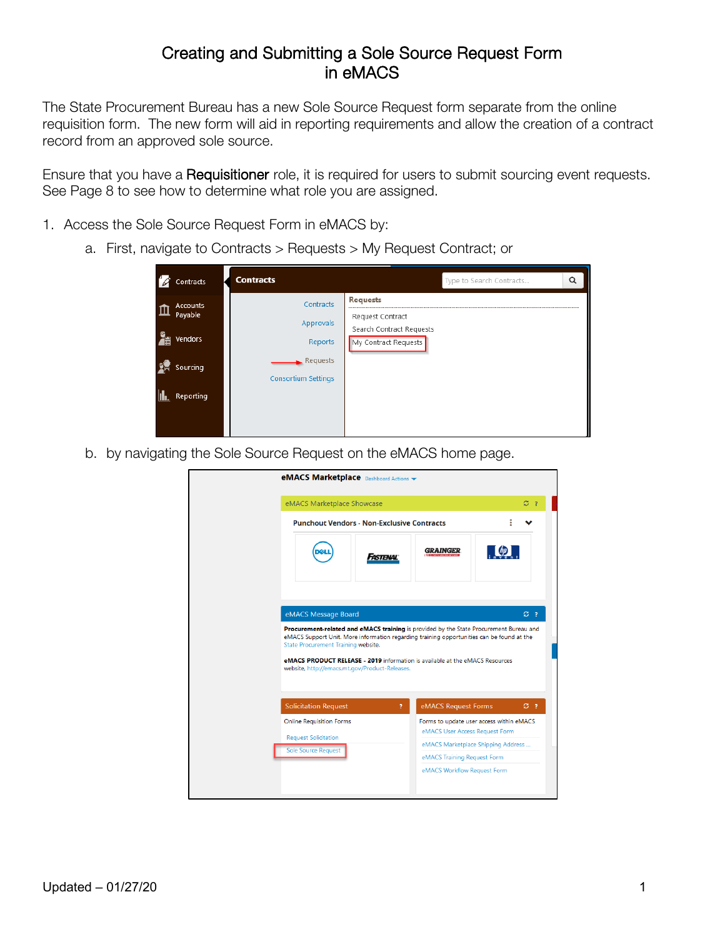## Creating and Submitting a Sole Source Request Form in eMACS

The State Procurement Bureau has a new Sole Source Request form separate from the online requisition form. The new form will aid in reporting requirements and allow the creation of a contract record from an approved sole source.

Ensure that you have a Requisitioner role, it is required for users to submit sourcing event requests. See Page 8 to see how to determine what role you are assigned.

- 1. Access the Sole Source Request Form in eMACS by:
	- a. First, navigate to Contracts > Requests > My Request Contract; or

| Contracts                                                      | <b>Contracts</b>                                                            |                                                                                         | Type to Search Contracts | Q |
|----------------------------------------------------------------|-----------------------------------------------------------------------------|-----------------------------------------------------------------------------------------|--------------------------|---|
| <b>Accounts</b><br>Payable<br>Vendors<br>Sourcing<br>Reporting | Contracts<br>Approvals<br>Reports<br>Requests<br><b>Consortium Settings</b> | <b>Requests</b><br>Request Contract<br>Search Contract Requests<br>My Contract Requests |                          |   |

b. by navigating the Sole Source Request on the eMACS home page.

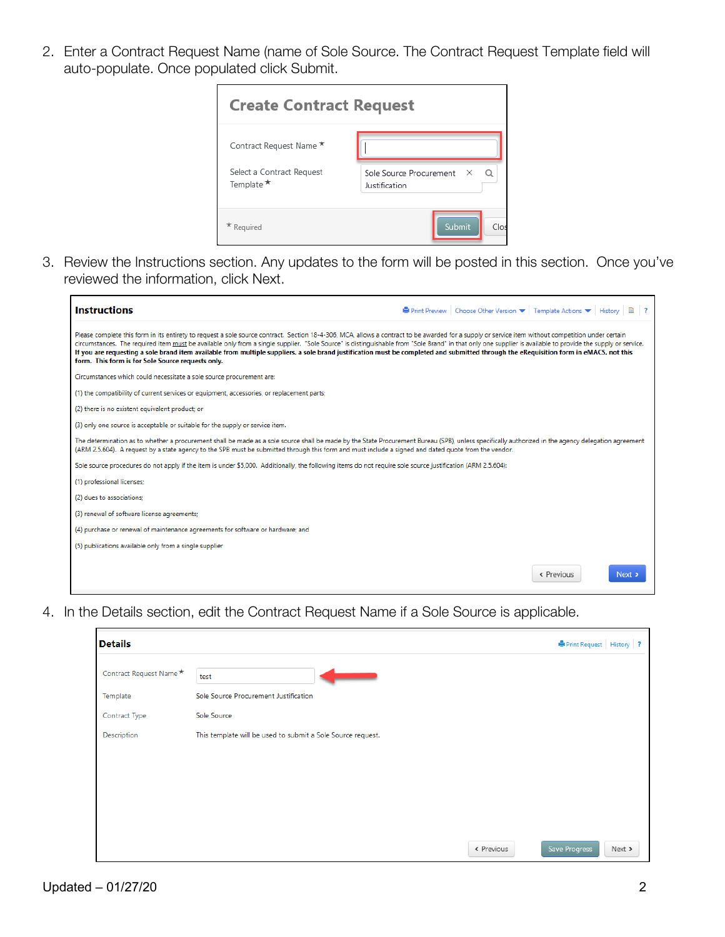2. Enter a Contract Request Name (name of Sole Source. The Contract Request Template field will auto-populate. Once populated click Submit.



3. Review the Instructions section. Any updates to the form will be posted in this section. Once you've reviewed the information, click Next.

| <b>Instructions</b>                                                                                                                                                                                                                                                                                                                                                                                                                                                                                                                                                                                                                                              | <b>Department</b> Preview   Choose Other Version $\blacktriangledown$   Template Actions $\blacktriangledown$   History   $\Box$   ? |
|------------------------------------------------------------------------------------------------------------------------------------------------------------------------------------------------------------------------------------------------------------------------------------------------------------------------------------------------------------------------------------------------------------------------------------------------------------------------------------------------------------------------------------------------------------------------------------------------------------------------------------------------------------------|--------------------------------------------------------------------------------------------------------------------------------------|
| Please complete this form in its entirety to request a sole source contract. Section 18-4-306, MCA, allows a contract to be awarded for a supply or service item without competition under certain<br>circumstances. The required item must be available only from a single supplier. "Sole Source" is distinguishable from "Sole Brand" in that only one supplier is available to provide the supply or service.<br>If you are requesting a sole brand item available from multiple suppliers, a sole brand justification must be completed and submitted through the eRequisition form in eMACS, not this<br>form. This form is for Sole Source requests only. |                                                                                                                                      |
| Circumstances which could necessitate a sole source procurement are:                                                                                                                                                                                                                                                                                                                                                                                                                                                                                                                                                                                             |                                                                                                                                      |
| (1) the compatibility of current services or equipment, accessories, or replacement parts;                                                                                                                                                                                                                                                                                                                                                                                                                                                                                                                                                                       |                                                                                                                                      |
| (2) there is no existent equivalent product; or                                                                                                                                                                                                                                                                                                                                                                                                                                                                                                                                                                                                                  |                                                                                                                                      |
| (3) only one source is acceptable or suitable for the supply or service item.                                                                                                                                                                                                                                                                                                                                                                                                                                                                                                                                                                                    |                                                                                                                                      |
| The determination as to whether a procurement shall be made as a sole source shall be made by the State Procurement Bureau (SPB), unless specifically authorized in the agency delegation agreement<br>(ARM 2.5.604). A request by a state agency to the SPB must be submitted through this form and must include a signed and dated quote from the vendor.                                                                                                                                                                                                                                                                                                      |                                                                                                                                      |
| Sole source procedures do not apply if the item is under \$5,000. Additionally, the following items do not require sole source justification (ARM 2.5.604):                                                                                                                                                                                                                                                                                                                                                                                                                                                                                                      |                                                                                                                                      |
| (1) professional licenses;                                                                                                                                                                                                                                                                                                                                                                                                                                                                                                                                                                                                                                       |                                                                                                                                      |
| (2) dues to associations:                                                                                                                                                                                                                                                                                                                                                                                                                                                                                                                                                                                                                                        |                                                                                                                                      |
| (3) renewal of software license agreements;                                                                                                                                                                                                                                                                                                                                                                                                                                                                                                                                                                                                                      |                                                                                                                                      |
| (4) purchase or renewal of maintenance agreements for software or hardware; and                                                                                                                                                                                                                                                                                                                                                                                                                                                                                                                                                                                  |                                                                                                                                      |
| (5) publications available only from a single supplier                                                                                                                                                                                                                                                                                                                                                                                                                                                                                                                                                                                                           |                                                                                                                                      |
|                                                                                                                                                                                                                                                                                                                                                                                                                                                                                                                                                                                                                                                                  | « Previous<br>Next >                                                                                                                 |

4. In the Details section, edit the Contract Request Name if a Sole Source is applicable.

| <b>Details</b>          |                                                             | <b>B</b> Print Request   History   ? |        |  |
|-------------------------|-------------------------------------------------------------|--------------------------------------|--------|--|
| Contract Request Name * | test                                                        |                                      |        |  |
| Template                | Sole Source Procurement Justification                       |                                      |        |  |
| Contract Type           | Sole Source                                                 |                                      |        |  |
| Description             | This template will be used to submit a Sole Source request. |                                      |        |  |
|                         |                                                             |                                      |        |  |
|                         |                                                             |                                      |        |  |
|                         |                                                             |                                      |        |  |
|                         |                                                             |                                      |        |  |
|                         |                                                             |                                      |        |  |
|                         | « Previous                                                  | Save Progress                        | Next > |  |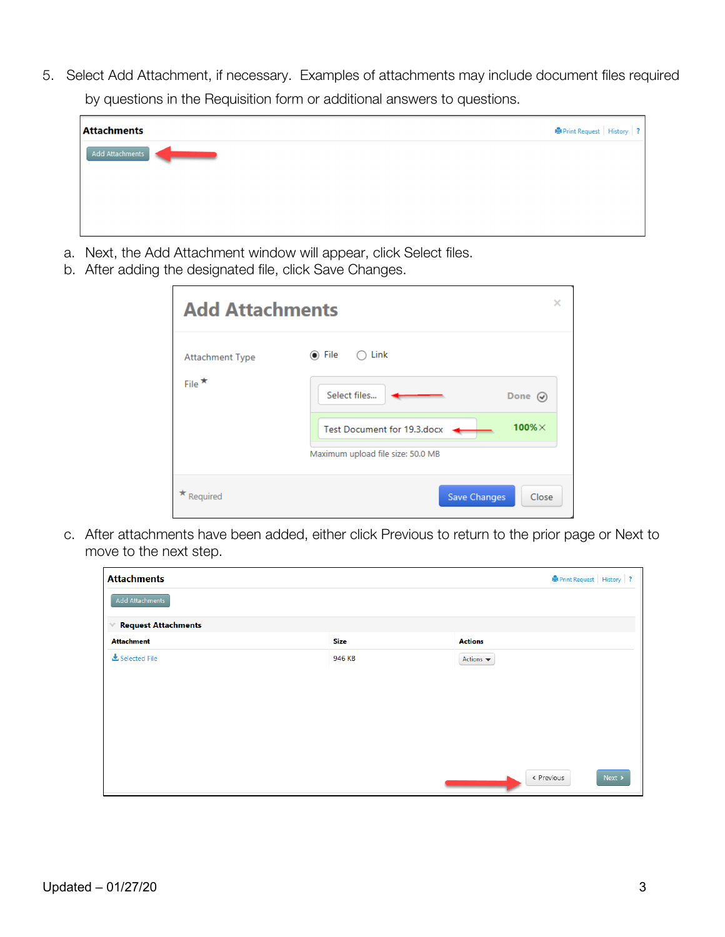5. Select Add Attachment, if necessary. Examples of attachments may include document files required by questions in the Requisition form or additional answers to questions.

| <b>Attachments</b> | ● Print Request   History   ? |  |
|--------------------|-------------------------------|--|
| Add Attachments    |                               |  |
|                    |                               |  |
|                    |                               |  |
|                    |                               |  |

- a. Next, the Add Attachment window will appear, click Select files.
- b. After adding the designated file, click Save Changes.

| <b>Add Attachments</b> |                                               |  |
|------------------------|-----------------------------------------------|--|
| <b>Attachment Type</b> | Link<br>◉ File<br>$\bigcap$                   |  |
| File $\star$           | Select files<br>Done $\varphi$                |  |
|                        | $100\% \times$<br>Test Document for 19.3.docx |  |
|                        | Maximum upload file size: 50.0 MB             |  |
| Required               | <b>Save Changes</b><br>Close                  |  |

c. After attachments have been added, either click Previous to return to the prior page or Next to move to the next step.

| <b>Attachments</b>         |             | $\blacksquare$ Print Request   History   ? |  |
|----------------------------|-------------|--------------------------------------------|--|
| Add Attachments            |             |                                            |  |
| <b>Request Attachments</b> |             |                                            |  |
| <b>Attachment</b>          | <b>Size</b> | <b>Actions</b>                             |  |
| & Selected File            | 946 KB      | Actions $\blacktriangledown$               |  |
|                            |             |                                            |  |
|                            |             |                                            |  |
|                            |             |                                            |  |
|                            |             |                                            |  |
|                            |             |                                            |  |
|                            |             | « Previous<br>Next >                       |  |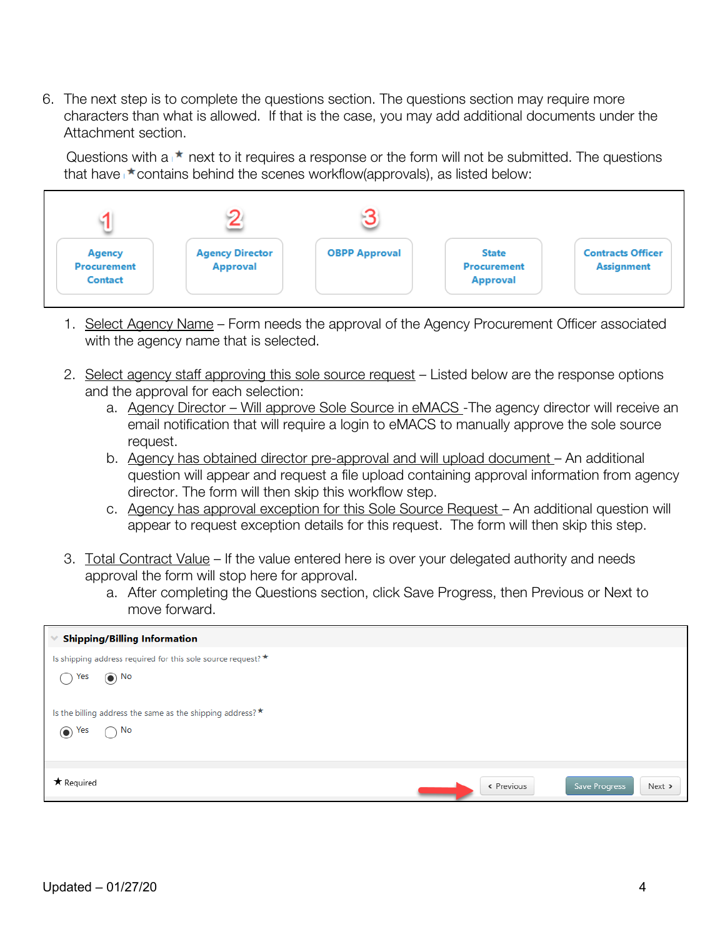6. The next step is to complete the questions section. The questions section may require more characters than what is allowed. If that is the case, you may add additional documents under the Attachment section.

Questions with  $a \uparrow \bullet$  next to it requires a response or the form will not be submitted. The questions that have  $\star$  contains behind the scenes workflow(approvals), as listed below:



- 1. Select Agency Name Form needs the approval of the Agency Procurement Officer associated with the agency name that is selected.
- 2. Select agency staff approving this sole source request Listed below are the response options and the approval for each selection:
	- a. Agency Director Will approve Sole Source in eMACS -The agency director will receive an email notification that will require a login to eMACS to manually approve the sole source request.
	- b. Agency has obtained director pre-approval and will upload document An additional question will appear and request a file upload containing approval information from agency director. The form will then skip this workflow step.
	- c. Agency has approval exception for this Sole Source Request An additional question will appear to request exception details for this request. The form will then skip this step.
- 3. Total Contract Value If the value entered here is over your delegated authority and needs approval the form will stop here for approval.
	- a. After completing the Questions section, click Save Progress, then Previous or Next to move forward.

| <b>Shipping/Billing Information</b>                              |            |                         |
|------------------------------------------------------------------|------------|-------------------------|
| Is shipping address required for this sole source request? *     |            |                         |
| $\odot$ No<br>Yes                                                |            |                         |
|                                                                  |            |                         |
| Is the billing address the same as the shipping address? $\star$ |            |                         |
| $\bigcirc$ No<br>$\odot$ Yes                                     |            |                         |
|                                                                  |            |                         |
|                                                                  |            |                         |
| * Required                                                       | « Previous | Save Progress<br>Next > |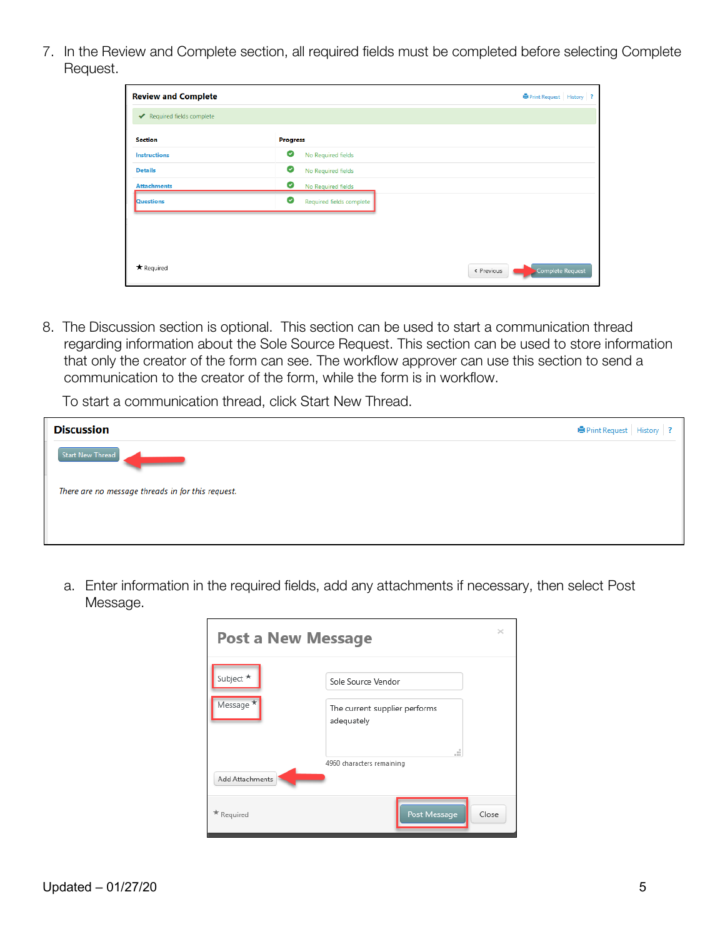7. In the Review and Complete section, all required fields must be completed before selecting Complete Request.

| <b>Review and Complete</b> |                               | <b>OPrint Request</b> History ? |
|----------------------------|-------------------------------|---------------------------------|
| Required fields complete   |                               |                                 |
| <b>Section</b>             | <b>Progress</b>               |                                 |
| <b>Instructions</b>        | ◙<br>No Required fields       |                                 |
| <b>Details</b>             | ◙<br>No Required fields       |                                 |
| <b>Attachments</b>         | Ø<br>No Required fields       |                                 |
| Questions                  | Ø<br>Required fields complete |                                 |
|                            |                               |                                 |
|                            |                               |                                 |
|                            |                               |                                 |
| * Required                 | « Previous                    | Complete Request                |

8. The Discussion section is optional. This section can be used to start a communication thread regarding information about the Sole Source Request. This section can be used to store information that only the creator of the form can see. The workflow approver can use this section to send a communication to the creator of the form, while the form is in workflow.

To start a communication thread, click Start New Thread.

| <b>Discussion</b>                                 | <b>Print Request</b> History ? |  |
|---------------------------------------------------|--------------------------------|--|
| <b>Start New Thread</b>                           |                                |  |
| There are no message threads in for this request. |                                |  |
|                                                   |                                |  |
|                                                   |                                |  |

a. Enter information in the required fields, add any attachments if necessary, then select Post Message.

| <b>Post a New Message</b> |                                             |       |
|---------------------------|---------------------------------------------|-------|
| Subject $\star$           | Sole Source Vendor                          |       |
| Message <sup>*</sup>      | The current supplier performs<br>adequately |       |
| Add Attachments           | m<br>4960 characters remaining              |       |
| * Required                | Post Message                                | Close |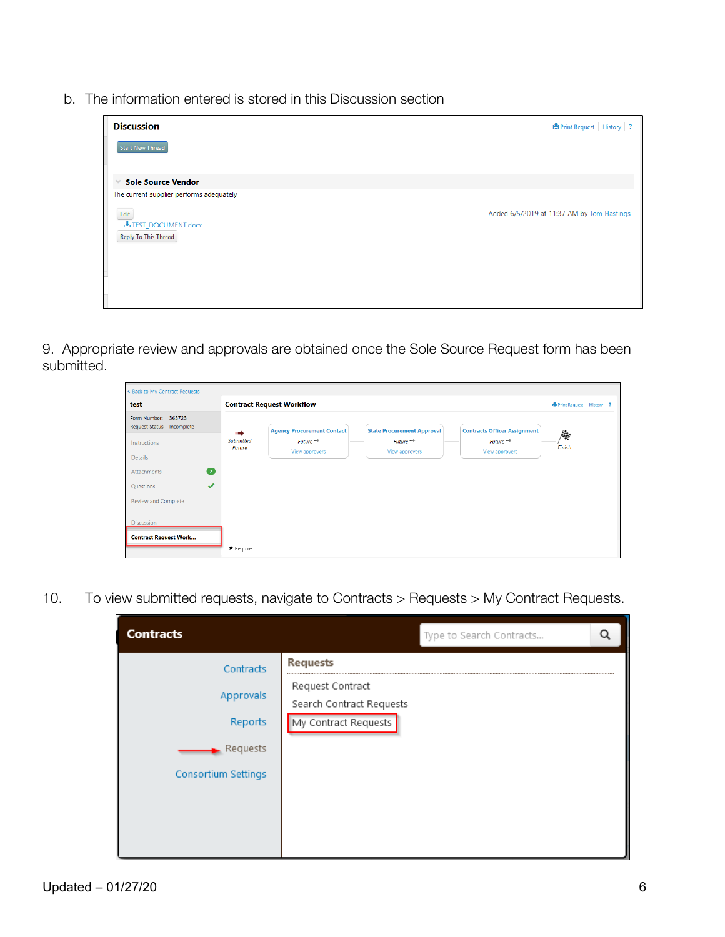b. The information entered is stored in this Discussion section



9. Appropriate review and approvals are obtained once the Sole Source Request form has been submitted.

| « Back to My Contract Requests                    |                                                                                                                                                                                  |                                 |
|---------------------------------------------------|----------------------------------------------------------------------------------------------------------------------------------------------------------------------------------|---------------------------------|
| test                                              | <b>Contract Request Workflow</b>                                                                                                                                                 | <b>OPrint Request</b> History ? |
| Form Number: 363723<br>Request Status: Incomplete | <b>Agency Procurement Contact</b><br><b>State Procurement Approval</b><br><b>Contracts Officer Assignment</b>                                                                    |                                 |
| Instructions                                      | $Future$ <sup><math>\rightarrow</math></sup><br><b>Submitted</b><br>$Future \rightarrow$<br>$Future \rightarrow$<br>Future<br>View approvers<br>View approvers<br>View approvers | 爔<br>Finish                     |
| Details                                           |                                                                                                                                                                                  |                                 |
| $\bullet$<br>Attachments                          |                                                                                                                                                                                  |                                 |
| $\overline{\mathcal{L}}$<br>Questions             |                                                                                                                                                                                  |                                 |
| <b>Review and Complete</b>                        |                                                                                                                                                                                  |                                 |
| <b>Discussion</b>                                 |                                                                                                                                                                                  |                                 |
| <b>Contract Request Work</b>                      |                                                                                                                                                                                  |                                 |
|                                                   | * Required                                                                                                                                                                       |                                 |

10. To view submitted requests, navigate to Contracts > Requests > My Contract Requests.

| <b>Contracts</b>                                                            | Type to Search Contracts                                                                | Q |
|-----------------------------------------------------------------------------|-----------------------------------------------------------------------------------------|---|
| Contracts<br>Approvals<br>Reports<br>Requests<br><b>Consortium Settings</b> | <b>Requests</b><br>Request Contract<br>Search Contract Requests<br>My Contract Requests |   |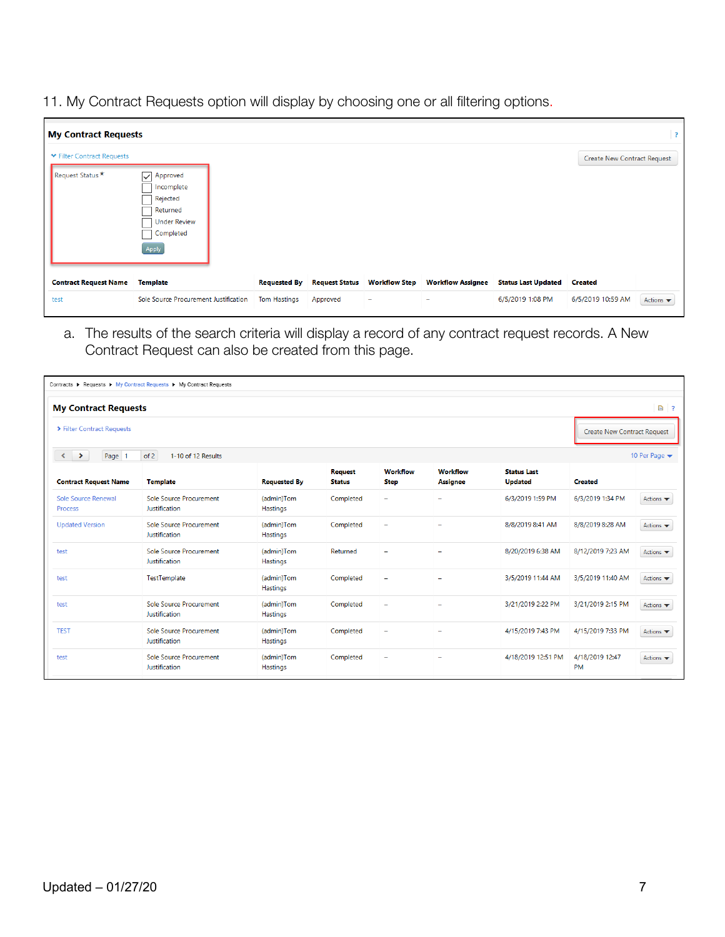11. My Contract Requests option will display by choosing one or all filtering options.

| <b>My Contract Requests</b>                    |                                                                                                                  |                                            |                                   |                           |                               |                                                |                                     | $\overline{\mathbf{3}}$      |
|------------------------------------------------|------------------------------------------------------------------------------------------------------------------|--------------------------------------------|-----------------------------------|---------------------------|-------------------------------|------------------------------------------------|-------------------------------------|------------------------------|
| ▼ Filter Contract Requests<br>Request Status * | $\overline{\vee}$<br>Approved<br>Incomplete<br>Rejected<br>Returned<br><b>Under Review</b><br>Completed<br>Apply |                                            |                                   |                           |                               |                                                | Create New Contract Request         |                              |
| <b>Contract Request Name</b><br>test           | Template<br>Sole Source Procurement Justification                                                                | <b>Requested By</b><br><b>Tom Hastings</b> | <b>Request Status</b><br>Approved | <b>Workflow Step</b><br>۰ | <b>Workflow Assignee</b><br>- | <b>Status Last Updated</b><br>6/5/2019 1:08 PM | <b>Created</b><br>6/5/2019 10:59 AM | Actions $\blacktriangledown$ |

a. The results of the search criteria will display a record of any contract request records. A New Contract Request can also be created from this page.

|                                                                                              | Contracts ▶ Requests ▶ My Contract Requests ▶ My Contract Requests |                        |                                 |                                |                                    |                                      |                                    |                              |
|----------------------------------------------------------------------------------------------|--------------------------------------------------------------------|------------------------|---------------------------------|--------------------------------|------------------------------------|--------------------------------------|------------------------------------|------------------------------|
| $B$ ?<br><b>My Contract Requests</b>                                                         |                                                                    |                        |                                 |                                |                                    |                                      |                                    |                              |
| ▶ Filter Contract Requests                                                                   |                                                                    |                        |                                 |                                |                                    |                                      | <b>Create New Contract Request</b> |                              |
| of 2<br>10 Per Page $\blacktriangledown$<br>$\rightarrow$<br>Page<br>1-10 of 12 Results<br>∢ |                                                                    |                        |                                 |                                |                                    |                                      |                                    |                              |
| <b>Contract Request Name</b>                                                                 | <b>Template</b>                                                    | <b>Requested By</b>    | <b>Request</b><br><b>Status</b> | <b>Workflow</b><br><b>Step</b> | <b>Workflow</b><br><b>Assignee</b> | <b>Status Last</b><br><b>Updated</b> | <b>Created</b>                     |                              |
| Sole Source Renewal<br><b>Process</b>                                                        | Sole Source Procurement<br>Justification                           | (admin)Tom<br>Hastings | Completed                       | -                              | $\overline{\phantom{0}}$           | 6/3/2019 1:59 PM                     | 6/3/2019 1:34 PM                   | Actions $\blacktriangledown$ |
| <b>Updated Version</b>                                                                       | Sole Source Procurement<br>Justification                           | (admin)Tom<br>Hastings | Completed                       | ۰                              | $\overline{\phantom{a}}$           | 8/8/2019 8:41 AM                     | 8/8/2019 8:28 AM                   | Actions $\blacktriangledown$ |
| test                                                                                         | <b>Sole Source Procurement</b><br>Justification                    | (admin)Tom<br>Hastings | Returned                        |                                |                                    | 8/20/2019 6:38 AM                    | 8/12/2019 7:23 AM                  | Actions $\blacktriangledown$ |
| test                                                                                         | TestTemplate                                                       | (admin)Tom<br>Hastings | Completed                       | ۰                              | ۰                                  | 3/5/2019 11:44 AM                    | 3/5/2019 11:40 AM                  | Actions $\blacktriangledown$ |
| test                                                                                         | Sole Source Procurement<br>Justification                           | (admin)Tom<br>Hastings | Completed                       | ۳                              |                                    | 3/21/2019 2:22 PM                    | 3/21/2019 2:15 PM                  | Actions $\blacktriangledown$ |
| <b>TEST</b>                                                                                  | Sole Source Procurement<br>Justification                           | (admin)Tom<br>Hastings | Completed                       | ۳                              | $\overline{\phantom{0}}$           | 4/15/2019 7:43 PM                    | 4/15/2019 7:33 PM                  | Actions $\blacktriangledown$ |
| test                                                                                         | Sole Source Procurement<br>Justification                           | (admin)Tom<br>Hastings | Completed                       | ۳                              |                                    | 4/18/2019 12:51 PM                   | 4/18/2019 12:47<br><b>PM</b>       | Actions $\blacktriangledown$ |